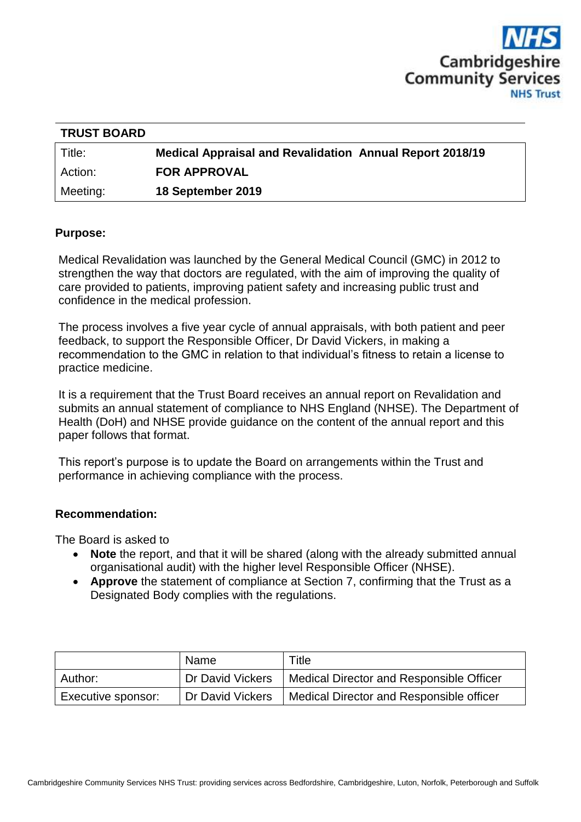

| <b>TRUST BOARD</b> |                                                                 |
|--------------------|-----------------------------------------------------------------|
| Title:             | <b>Medical Appraisal and Revalidation Annual Report 2018/19</b> |
| Action:            | <b>FOR APPROVAL</b>                                             |
| Meeting:           | 18 September 2019                                               |

### **Purpose:**

Medical Revalidation was launched by the General Medical Council (GMC) in 2012 to strengthen the way that doctors are regulated, with the aim of improving the quality of care provided to patients, improving patient safety and increasing public trust and confidence in the medical profession.

The process involves a five year cycle of annual appraisals, with both patient and peer feedback, to support the Responsible Officer, Dr David Vickers, in making a recommendation to the GMC in relation to that individual's fitness to retain a license to practice medicine.

It is a requirement that the Trust Board receives an annual report on Revalidation and submits an annual statement of compliance to NHS England (NHSE). The Department of Health (DoH) and NHSE provide guidance on the content of the annual report and this paper follows that format.

This report's purpose is to update the Board on arrangements within the Trust and performance in achieving compliance with the process.

#### **Recommendation:**

The Board is asked to

- Note the report, and that it will be shared (along with the already submitted annual organisational audit) with the higher level Responsible Officer (NHSE).
- **Approve** the statement of compliance at Section 7, confirming that the Trust as a Designated Body complies with the regulations.

|                    | Name             | Title                                    |
|--------------------|------------------|------------------------------------------|
| Author:            | Dr David Vickers | Medical Director and Responsible Officer |
| Executive sponsor: | Dr David Vickers | Medical Director and Responsible officer |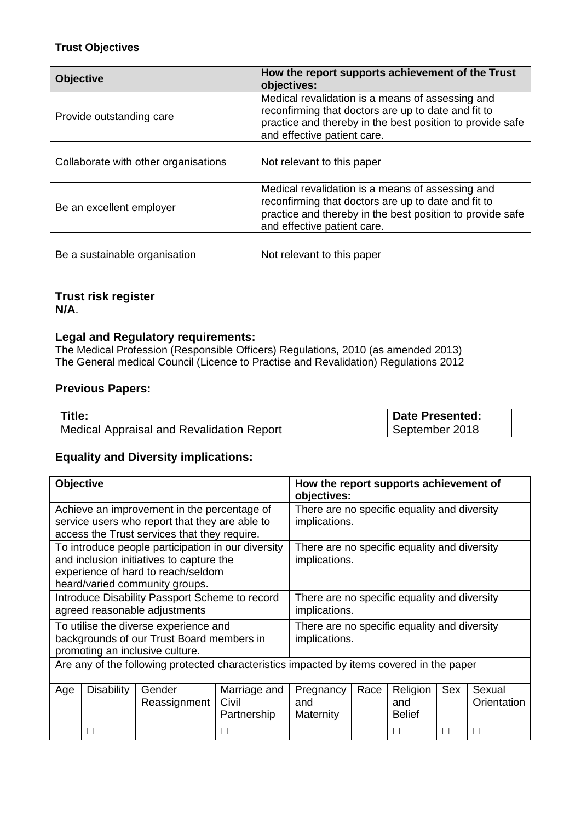### **Trust Objectives**

| <b>Objective</b>                     | How the report supports achievement of the Trust<br>objectives:                                                                                                                                     |  |  |  |  |
|--------------------------------------|-----------------------------------------------------------------------------------------------------------------------------------------------------------------------------------------------------|--|--|--|--|
| Provide outstanding care             | Medical revalidation is a means of assessing and<br>reconfirming that doctors are up to date and fit to<br>practice and thereby in the best position to provide safe<br>and effective patient care. |  |  |  |  |
| Collaborate with other organisations | Not relevant to this paper                                                                                                                                                                          |  |  |  |  |
| Be an excellent employer             | Medical revalidation is a means of assessing and<br>reconfirming that doctors are up to date and fit to<br>practice and thereby in the best position to provide safe<br>and effective patient care. |  |  |  |  |
| Be a sustainable organisation        | Not relevant to this paper                                                                                                                                                                          |  |  |  |  |

# **Trust risk register N/A**.

# **Legal and Regulatory requirements:**

The Medical Profession (Responsible Officers) Regulations, 2010 (as amended 2013) The General medical Council (Licence to Practise and Revalidation) Regulations 2012

#### **Previous Papers:**

| Title:                                           | <b>Date Presented:</b> |
|--------------------------------------------------|------------------------|
| <b>Medical Appraisal and Revalidation Report</b> | September 2018         |

# **Equality and Diversity implications:**

| Objective                                                                                                                                                              |                   |                        |                                                               | How the report supports achievement of<br>objectives:         |              |                                  |     |                       |
|------------------------------------------------------------------------------------------------------------------------------------------------------------------------|-------------------|------------------------|---------------------------------------------------------------|---------------------------------------------------------------|--------------|----------------------------------|-----|-----------------------|
| Achieve an improvement in the percentage of<br>service users who report that they are able to<br>access the Trust services that they require.                          |                   |                        |                                                               | There are no specific equality and diversity<br>implications. |              |                                  |     |                       |
| To introduce people participation in our diversity<br>and inclusion initiatives to capture the<br>experience of hard to reach/seldom<br>heard/varied community groups. |                   |                        |                                                               | There are no specific equality and diversity<br>implications. |              |                                  |     |                       |
| Introduce Disability Passport Scheme to record<br>agreed reasonable adjustments                                                                                        |                   |                        | There are no specific equality and diversity<br>implications. |                                                               |              |                                  |     |                       |
| To utilise the diverse experience and<br>backgrounds of our Trust Board members in<br>promoting an inclusive culture.                                                  |                   |                        | There are no specific equality and diversity<br>implications. |                                                               |              |                                  |     |                       |
| Are any of the following protected characteristics impacted by items covered in the paper                                                                              |                   |                        |                                                               |                                                               |              |                                  |     |                       |
| Age                                                                                                                                                                    | <b>Disability</b> | Gender<br>Reassignment | Marriage and<br>Civil<br>Partnership                          | Pregnancy<br>and<br>Maternity                                 | Race         | Religion<br>and<br><b>Belief</b> | Sex | Sexual<br>Orientation |
|                                                                                                                                                                        |                   |                        |                                                               |                                                               | $\mathbf{I}$ |                                  | П   |                       |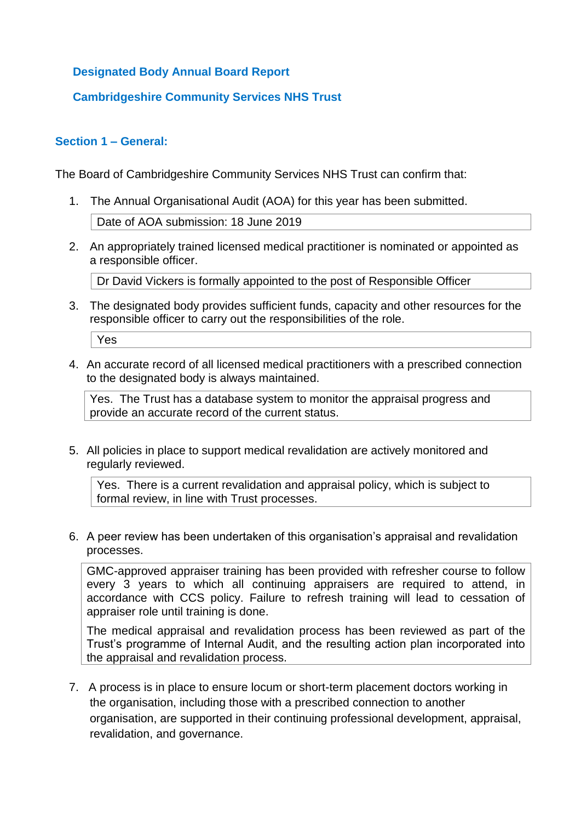# **Designated Body Annual Board Report**

# **Cambridgeshire Community Services NHS Trust**

### **Section 1 – General:**

The Board of Cambridgeshire Community Services NHS Trust can confirm that:

- 1. The Annual Organisational Audit (AOA) for this year has been submitted. Date of AOA submission: 18 June 2019
- 2. An appropriately trained licensed medical practitioner is nominated or appointed as a responsible officer.

Dr David Vickers is formally appointed to the post of Responsible Officer

3. The designated body provides sufficient funds, capacity and other resources for the responsible officer to carry out the responsibilities of the role.

Yes

4. An accurate record of all licensed medical practitioners with a prescribed connection to the designated body is always maintained.

Yes. The Trust has a database system to monitor the appraisal progress and provide an accurate record of the current status.

5. All policies in place to support medical revalidation are actively monitored and regularly reviewed.

Yes. There is a current revalidation and appraisal policy, which is subject to formal review, in line with Trust processes.

6. A peer review has been undertaken of this organisation's appraisal and revalidation processes.

GMC-approved appraiser training has been provided with refresher course to follow every 3 years to which all continuing appraisers are required to attend, in accordance with CCS policy. Failure to refresh training will lead to cessation of appraiser role until training is done.

The medical appraisal and revalidation process has been reviewed as part of the Trust's programme of Internal Audit, and the resulting action plan incorporated into the appraisal and revalidation process.

7. A process is in place to ensure locum or short-term placement doctors working in the organisation, including those with a prescribed connection to another organisation, are supported in their continuing professional development, appraisal, revalidation, and governance.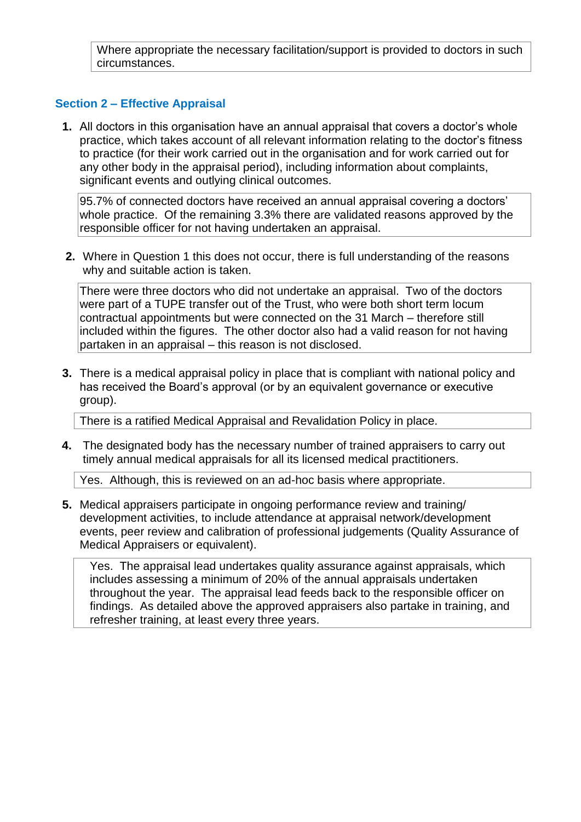Where appropriate the necessary facilitation/support is provided to doctors in such circumstances.

### **Section 2 – Effective Appraisal**

**1.** All doctors in this organisation have an annual appraisal that covers a doctor's whole practice, which takes account of all relevant information relating to the doctor's fitness to practice (for their work carried out in the organisation and for work carried out for any other body in the appraisal period), including information about complaints, significant events and outlying clinical outcomes.

95.7% of connected doctors have received an annual appraisal covering a doctors' whole practice. Of the remaining 3.3% there are validated reasons approved by the responsible officer for not having undertaken an appraisal.

**2.** Where in Question 1 this does not occur, there is full understanding of the reasons why and suitable action is taken.

There were three doctors who did not undertake an appraisal. Two of the doctors were part of a TUPE transfer out of the Trust, who were both short term locum contractual appointments but were connected on the 31 March – therefore still included within the figures. The other doctor also had a valid reason for not having partaken in an appraisal – this reason is not disclosed.

**3.** There is a medical appraisal policy in place that is compliant with national policy and has received the Board's approval (or by an equivalent governance or executive group).

There is a ratified Medical Appraisal and Revalidation Policy in place.

**4.** The designated body has the necessary number of trained appraisers to carry out timely annual medical appraisals for all its licensed medical practitioners.

Yes. Although, this is reviewed on an ad-hoc basis where appropriate.

**5.** Medical appraisers participate in ongoing performance review and training/ development activities, to include attendance at appraisal network/development events, peer review and calibration of professional judgements (Quality Assurance of Medical Appraisers or equivalent).

Yes. The appraisal lead undertakes quality assurance against appraisals, which includes assessing a minimum of 20% of the annual appraisals undertaken throughout the year. The appraisal lead feeds back to the responsible officer on findings. As detailed above the approved appraisers also partake in training, and refresher training, at least every three years.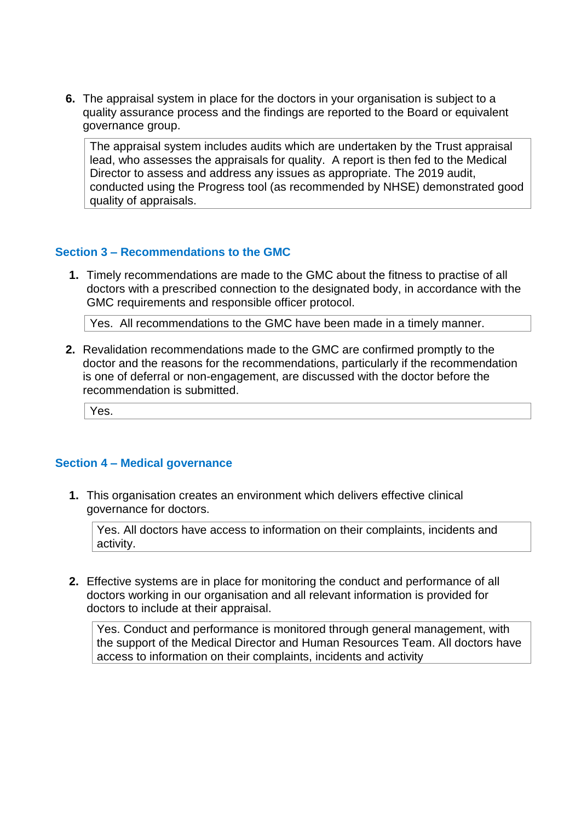**6.** The appraisal system in place for the doctors in your organisation is subject to a quality assurance process and the findings are reported to the Board or equivalent governance group.

The appraisal system includes audits which are undertaken by the Trust appraisal lead, who assesses the appraisals for quality. A report is then fed to the Medical Director to assess and address any issues as appropriate. The 2019 audit, conducted using the Progress tool (as recommended by NHSE) demonstrated good quality of appraisals.

### **Section 3 – Recommendations to the GMC**

**1.** Timely recommendations are made to the GMC about the fitness to practise of all doctors with a prescribed connection to the designated body, in accordance with the GMC requirements and responsible officer protocol.

Yes. All recommendations to the GMC have been made in a timely manner.

**2.** Revalidation recommendations made to the GMC are confirmed promptly to the doctor and the reasons for the recommendations, particularly if the recommendation is one of deferral or non-engagement, are discussed with the doctor before the recommendation is submitted.

Yes.

### **Section 4 – Medical governance**

**1.** This organisation creates an environment which delivers effective clinical governance for doctors.

Yes. All doctors have access to information on their complaints, incidents and activity.

**2.** Effective systems are in place for monitoring the conduct and performance of all doctors working in our organisation and all relevant information is provided for doctors to include at their appraisal.

Yes. Conduct and performance is monitored through general management, with the support of the Medical Director and Human Resources Team. All doctors have access to information on their complaints, incidents and activity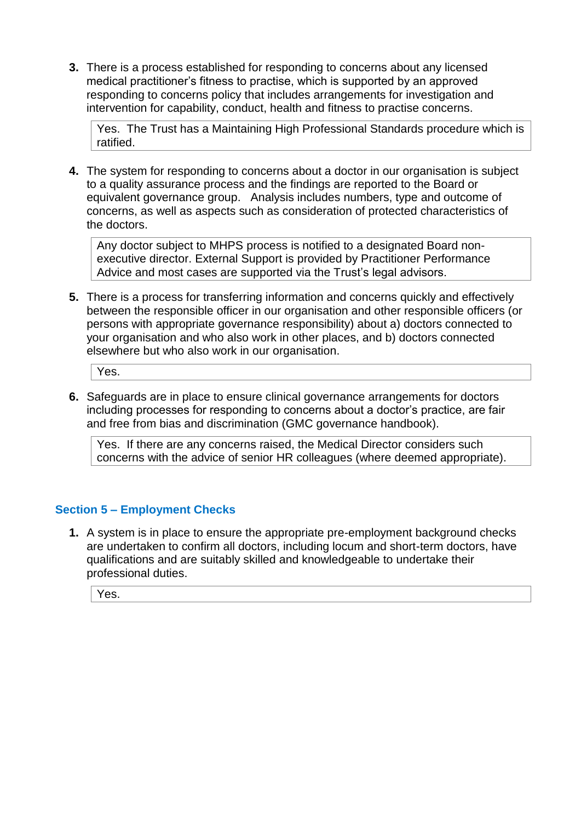**3.** There is a process established for responding to concerns about any licensed medical practitioner's fitness to practise, which is supported by an approved responding to concerns policy that includes arrangements for investigation and intervention for capability, conduct, health and fitness to practise concerns.

Yes. The Trust has a Maintaining High Professional Standards procedure which is ratified.

**4.** The system for responding to concerns about a doctor in our organisation is subject to a quality assurance process and the findings are reported to the Board or equivalent governance group. Analysis includes numbers, type and outcome of concerns, as well as aspects such as consideration of protected characteristics of the doctors.

Any doctor subject to MHPS process is notified to a designated Board nonexecutive director. External Support is provided by Practitioner Performance Advice and most cases are supported via the Trust's legal advisors.

**5.** There is a process for transferring information and concerns quickly and effectively between the responsible officer in our organisation and other responsible officers (or persons with appropriate governance responsibility) about a) doctors connected to your organisation and who also work in other places, and b) doctors connected elsewhere but who also work in our organisation.

Yes.

**6.** Safeguards are in place to ensure clinical governance arrangements for doctors including processes for responding to concerns about a doctor's practice, are fair and free from bias and discrimination (GMC governance handbook).

Yes. If there are any concerns raised, the Medical Director considers such concerns with the advice of senior HR colleagues (where deemed appropriate).

# **Section 5 – Employment Checks**

**1.** A system is in place to ensure the appropriate pre-employment background checks are undertaken to confirm all doctors, including locum and short-term doctors, have qualifications and are suitably skilled and knowledgeable to undertake their professional duties.

Yes.